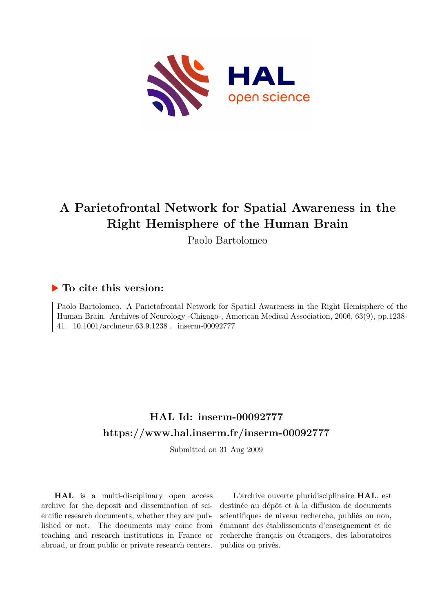

# **A Parietofrontal Network for Spatial Awareness in the Right Hemisphere of the Human Brain**

Paolo Bartolomeo

## **To cite this version:**

Paolo Bartolomeo. A Parietofrontal Network for Spatial Awareness in the Right Hemisphere of the Human Brain. Archives of Neurology -Chigago-, American Medical Association, 2006, 63(9), pp.1238- 41.  $10.1001/$ archneur.63.9.1238. inserm-00092777

## **HAL Id: inserm-00092777 <https://www.hal.inserm.fr/inserm-00092777>**

Submitted on 31 Aug 2009

**HAL** is a multi-disciplinary open access archive for the deposit and dissemination of scientific research documents, whether they are published or not. The documents may come from teaching and research institutions in France or abroad, or from public or private research centers.

L'archive ouverte pluridisciplinaire **HAL**, est destinée au dépôt et à la diffusion de documents scientifiques de niveau recherche, publiés ou non, émanant des établissements d'enseignement et de recherche français ou étrangers, des laboratoires publics ou privés.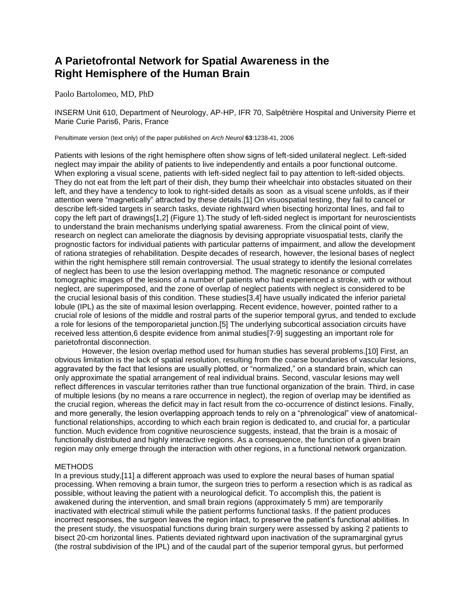### **A Parietofrontal Network for Spatial Awareness in the Right Hemisphere of the Human Brain**

#### Paolo Bartolomeo, MD, PhD

INSERM Unit 610, Department of Neurology, AP-HP, IFR 70, Salpêtrière Hospital and University Pierre et Marie Curie Paris6, Paris, France

Penultimate version (text only) of the paper published on *Arch Neurol* **63**:1238-41, 2006

Patients with lesions of the right hemisphere often show signs of left-sided unilateral neglect. Left-sided neglect may impair the ability of patients to live independently and entails a poor functional outcome. When exploring a visual scene, patients with left-sided neglect fail to pay attention to left-sided objects. They do not eat from the left part of their dish, they bump their wheelchair into obstacles situated on their left, and they have a tendency to look to right-sided details as soon as a visual scene unfolds, as if their attention were "magnetically" attracted by these details.[1] On visuospatial testing, they fail to cancel or describe left-sided targets in search tasks, deviate rightward when bisecting horizontal lines, and fail to copy the left part of drawings[1,2] (Figure 1).The study of left-sided neglect is important for neuroscientists to understand the brain mechanisms underlying spatial awareness. From the clinical point of view, research on neglect can ameliorate the diagnosis by devising appropriate visuospatial tests, clarify the prognostic factors for individual patients with particular patterns of impairment, and allow the development of rationa strategies of rehabilitation. Despite decades of research, however, the lesional bases of neglect within the right hemisphere still remain controversial. The usual strategy to identify the lesional correlates of neglect has been to use the lesion overlapping method. The magnetic resonance or computed tomographic images of the lesions of a number of patients who had experienced a stroke, with or without neglect, are superimposed, and the zone of overlap of neglect patients with neglect is considered to be the crucial lesional basis of this condition. These studies[3,4] have usually indicated the inferior parietal lobule (IPL) as the site of maximal lesion overlapping. Recent evidence, however, pointed rather to a crucial role of lesions of the middle and rostral parts of the superior temporal gyrus, and tended to exclude a role for lesions of the temporoparietal junction.[5] The underlying subcortical association circuits have received less attention,6 despite evidence from animal studies[7-9] suggesting an important role for parietofrontal disconnection.

However, the lesion overlap method used for human studies has several problems.[10] First, an obvious limitation is the lack of spatial resolution, resulting from the coarse boundaries of vascular lesions, aggravated by the fact that lesions are usually plotted, or "normalized," on a standard brain, which can only approximate the spatial arrangement of real individual brains. Second, vascular lesions may well reflect differences in vascular territories rather than true functional organization of the brain. Third, in case of multiple lesions (by no means a rare occurrence in neglect), the region of overlap may be identified as the crucial region, whereas the deficit may in fact result from the co-occurrence of distinct lesions. Finally, and more generally, the lesion overlapping approach tends to rely on a "phrenological" view of anatomicalfunctional relationships, according to which each brain region is dedicated to, and crucial for, a particular function. Much evidence from cognitive neuroscience suggests, instead, that the brain is a mosaic of functionally distributed and highly interactive regions. As a consequence, the function of a given brain region may only emerge through the interaction with other regions, in a functional network organization.

#### METHODS

In a previous study,[11] a different approach was used to explore the neural bases of human spatial processing. When removing a brain tumor, the surgeon tries to perform a resection which is as radical as possible, without leaving the patient with a neurological deficit. To accomplish this, the patient is awakened during the intervention, and small brain regions (approximately 5 mm) are temporarily inactivated with electrical stimuli while the patient performs functional tasks. If the patient produces incorrect responses, the surgeon leaves the region intact, to preserve the patient's functional abilities. In the present study, the visuospatial functions during brain surgery were assessed by asking 2 patients to bisect 20-cm horizontal lines. Patients deviated rightward upon inactivation of the supramarginal gyrus (the rostral subdivision of the IPL) and of the caudal part of the superior temporal gyrus, but performed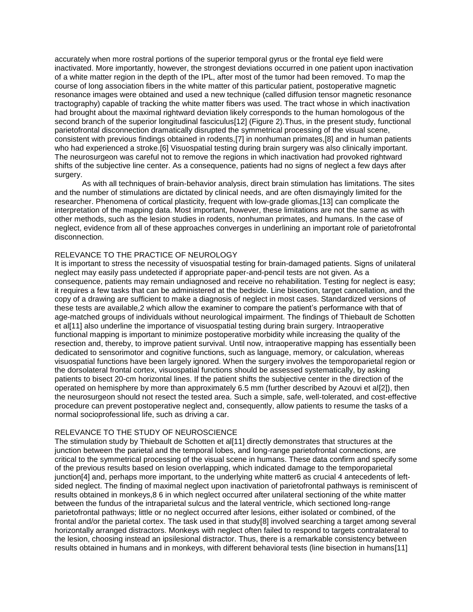accurately when more rostral portions of the superior temporal gyrus or the frontal eye field were inactivated. More importantly, however, the strongest deviations occurred in one patient upon inactivation of a white matter region in the depth of the IPL, after most of the tumor had been removed. To map the course of long association fibers in the white matter of this particular patient, postoperative magnetic resonance images were obtained and used a new technique (called diffusion tensor magnetic resonance tractography) capable of tracking the white matter fibers was used. The tract whose in which inactivation had brought about the maximal rightward deviation likely corresponds to the human homologous of the second branch of the superior longitudinal fasciculus[12] (Figure 2).Thus, in the present study, functional parietofrontal disconnection dramatically disrupted the symmetrical processing of the visual scene, consistent with previous findings obtained in rodents,[7] in nonhuman primates,[8] and in human patients who had experienced a stroke.[6] Visuospatial testing during brain surgery was also clinically important. The neurosurgeon was careful not to remove the regions in which inactivation had provoked rightward shifts of the subjective line center. As a consequence, patients had no signs of neglect a few days after surgery.

As with all techniques of brain-behavior analysis, direct brain stimulation has limitations. The sites and the number of stimulations are dictated by clinical needs, and are often dismayingly limited for the researcher. Phenomena of cortical plasticity, frequent with low-grade gliomas,[13] can complicate the interpretation of the mapping data. Most important, however, these limitations are not the same as with other methods, such as the lesion studies in rodents, nonhuman primates, and humans. In the case of neglect, evidence from all of these approaches converges in underlining an important role of parietofrontal disconnection.

#### RELEVANCE TO THE PRACTICE OF NEUROLOGY

It is important to stress the necessity of visuospatial testing for brain-damaged patients. Signs of unilateral neglect may easily pass undetected if appropriate paper-and-pencil tests are not given. As a consequence, patients may remain undiagnosed and receive no rehabilitation. Testing for neglect is easy; it requires a few tasks that can be administered at the bedside. Line bisection, target cancellation, and the copy of a drawing are sufficient to make a diagnosis of neglect in most cases. Standardized versions of these tests are available,2 which allow the examiner to compare the patient's performance with that of age-matched groups of individuals without neurological impairment. The findings of Thiebault de Schotten et al[11] also underline the importance of visuospatial testing during brain surgery. Intraoperative functional mapping is important to minimize postoperative morbidity while increasing the quality of the resection and, thereby, to improve patient survival. Until now, intraoperative mapping has essentially been dedicated to sensorimotor and cognitive functions, such as language, memory, or calculation, whereas visuospatial functions have been largely ignored. When the surgery involves the temporoparietal region or the dorsolateral frontal cortex, visuospatial functions should be assessed systematically, by asking patients to bisect 20-cm horizontal lines. If the patient shifts the subjective center in the direction of the operated on hemisphere by more than approximately 6.5 mm (further described by Azouvi et al[2]), then the neurosurgeon should not resect the tested area. Such a simple, safe, well-tolerated, and cost-effective procedure can prevent postoperative neglect and, consequently, allow patients to resume the tasks of a normal socioprofessional life, such as driving a car.

#### RELEVANCE TO THE STUDY OF NEUROSCIENCE

The stimulation study by Thiebault de Schotten et al[11] directly demonstrates that structures at the junction between the parietal and the temporal lobes, and long-range parietofrontal connections, are critical to the symmetrical processing of the visual scene in humans. These data confirm and specify some of the previous results based on lesion overlapping, which indicated damage to the temporoparietal junction[4] and, perhaps more important, to the underlying white matter6 as crucial 4 antecedents of leftsided neglect. The finding of maximal neglect upon inactivation of parietofrontal pathways is reminiscent of results obtained in monkeys,8 6 in which neglect occurred after unilateral sectioning of the white matter between the fundus of the intraparietal sulcus and the lateral ventricle, which sectioned long-range parietofrontal pathways; little or no neglect occurred after lesions, either isolated or combined, of the frontal and/or the parietal cortex. The task used in that study[8] involved searching a target among several horizontally arranged distractors. Monkeys with neglect often failed to respond to targets contralateral to the lesion, choosing instead an ipsilesional distractor. Thus, there is a remarkable consistency between results obtained in humans and in monkeys, with different behavioral tests (line bisection in humans[11]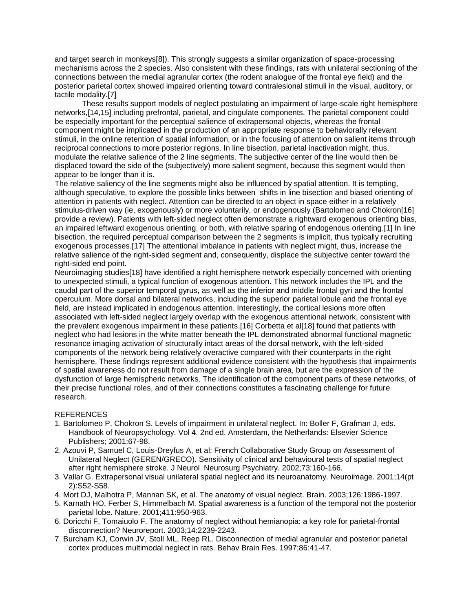and target search in monkeys[8]). This strongly suggests a similar organization of space-processing mechanisms across the 2 species. Also consistent with these findings, rats with unilateral sectioning of the connections between the medial agranular cortex (the rodent analogue of the frontal eye field) and the posterior parietal cortex showed impaired orienting toward contralesional stimuli in the visual, auditory, or tactile modality.[7]

These results support models of neglect postulating an impairment of large-scale right hemisphere networks,[14,15] including prefrontal, parietal, and cingulate components. The parietal component could be especially important for the perceptual salience of extrapersonal objects, whereas the frontal component might be implicated in the production of an appropriate response to behaviorally relevant stimuli, in the online retention of spatial information, or in the focusing of attention on salient items through reciprocal connections to more posterior regions. In line bisection, parietal inactivation might, thus, modulate the relative salience of the 2 line segments. The subjective center of the line would then be displaced toward the side of the (subjectively) more salient segment, because this segment would then appear to be longer than it is.

The relative saliency of the line segments might also be influenced by spatial attention. It is tempting, although speculative, to explore the possible links between shifts in line bisection and biased orienting of attention in patients with neglect. Attention can be directed to an object in space either in a relatively stimulus-driven way (ie, exogenously) or more voluntarily, or endogenously (Bartolomeo and Chokron[16] provide a review). Patients with left-sided neglect often demonstrate a rightward exogenous orienting bias, an impaired leftward exogenous orienting, or both, with relative sparing of endogenous orienting.[1] In line bisection, the required perceptual comparison between the 2 segments is implicit, thus typically recruiting exogenous processes.[17] The attentional imbalance in patients with neglect might, thus, increase the relative salience of the right-sided segment and, consequently, displace the subjective center toward the right-sided end point.

Neuroimaging studies[18] have identified a right hemisphere network especially concerned with orienting to unexpected stimuli, a typical function of exogenous attention. This network includes the IPL and the caudal part of the superior temporal gyrus, as well as the inferior and middle frontal gyri and the frontal operculum. More dorsal and bilateral networks, including the superior parietal lobule and the frontal eye field, are instead implicated in endogenous attention. Interestingly, the cortical lesions more often associated with left-sided neglect largely overlap with the exogenous attentional network, consistent with the prevalent exogenous impairment in these patients.[16] Corbetta et al[18] found that patients with neglect who had lesions in the white matter beneath the IPL demonstrated abnormal functional magnetic resonance imaging activation of structurally intact areas of the dorsal network, with the left-sided components of the network being relatively overactive compared with their counterparts in the right hemisphere. These findings represent additional evidence consistent with the hypothesis that impairments of spatial awareness do not result from damage of a single brain area, but are the expression of the dysfunction of large hemispheric networks. The identification of the component parts of these networks, of their precise functional roles, and of their connections constitutes a fascinating challenge for future research.

#### REFERENCES

- 1. Bartolomeo P, Chokron S. Levels of impairment in unilateral neglect. In: Boller F, Grafman J, eds. Handbook of Neuropsychology. Vol 4. 2nd ed. Amsterdam, the Netherlands: Elsevier Science Publishers; 2001:67-98.
- 2. Azouvi P, Samuel C, Louis-Dreyfus A, et al; French Collaborative Study Group on Assessment of Unilateral Neglect (GEREN/GRECO). Sensitivity of clinical and behavioural tests of spatial neglect after right hemisphere stroke. J Neurol Neurosurg Psychiatry. 2002;73:160-166.
- 3. Vallar G. Extrapersonal visual unilateral spatial neglect and its neuroanatomy. Neuroimage. 2001;14(pt 2):S52-S58.
- 4. Mort DJ, Malhotra P, Mannan SK, et al. The anatomy of visual neglect. Brain. 2003;126:1986-1997.
- 5. Karnath HO, Ferber S, Himmelbach M. Spatial awareness is a function of the temporal not the posterior parietal lobe. Nature. 2001;411:950-963.
- 6. Doricchi F, Tomaiuolo F. The anatomy of neglect without hemianopia: a key role for parietal-frontal disconnection? Neuroreport. 2003;14:2239-2243.
- 7. Burcham KJ, Corwin JV, Stoll ML, Reep RL. Disconnection of medial agranular and posterior parietal cortex produces multimodal neglect in rats. Behav Brain Res. 1997;86:41-47.